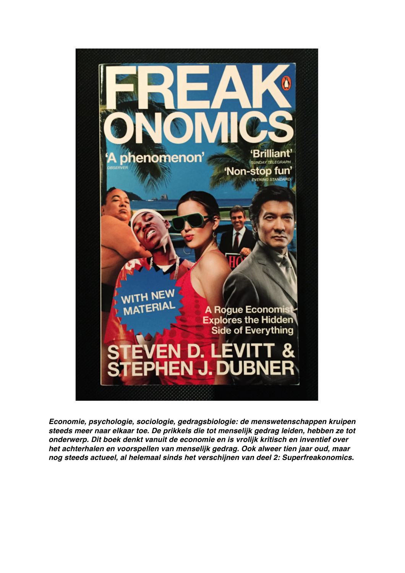

*Economie, psychologie, sociologie, gedragsbiologie: de menswetenschappen kruipen steeds meer naar elkaar toe. De prikkels die tot menselijk gedrag leiden, hebben ze tot onderwerp. Dit boek denkt vanuit de economie en is vrolijk kritisch en inventief over het achterhalen en voorspellen van menselijk gedrag. Ook alweer tien jaar oud, maar nog steeds actueel, al helemaal sinds het verschijnen van deel 2: Superfreakonomics.*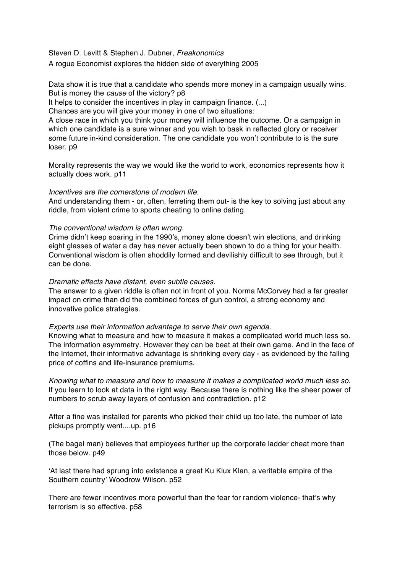Steven D. Levitt & Stephen J. Dubner, *Freakonomics* A rogue Economist explores the hidden side of everything 2005

Data show it is true that a candidate who spends more money in a campaign usually wins. But is money the *cause* of the victory? p8

It helps to consider the incentives in play in campaign finance. (...)

Chances are you will give your money in one of two situations:

A close race in which you think your money will influence the outcome. Or a campaign in which one candidate is a sure winner and you wish to bask in reflected glory or receiver some future in-kind consideration. The one candidate you won't contribute to is the sure loser. p9

Morality represents the way we would like the world to work, economics represents how it actually does work. p11

## *Incentives are the cornerstone of modern life.*

And understanding them - or, often, ferreting them out- is the key to solving just about any riddle, from violent crime to sports cheating to online dating.

## *The conventional wisdom is often wrong.*

Crime didn't keep soaring in the 1990's, money alone doesn't win elections, and drinking eight glasses of water a day has never actually been shown to do a thing for your health. Conventional wisdom is often shoddily formed and devilishly difficult to see through, but it can be done.

## *Dramatic effects have distant, even subtle causes.*

The answer to a given riddle is often not in front of you. Norma McCorvey had a far greater impact on crime than did the combined forces of gun control, a strong economy and innovative police strategies.

## *Experts use their information advantage to serve their own agenda.*

Knowing what to measure and how to measure it makes a complicated world much less so. The information asymmetry. However they can be beat at their own game. And in the face of the Internet, their informative advantage is shrinking every day - as evidenced by the falling price of coffins and life-insurance premiums.

*Knowing what to measure and how to measure it makes a complicated world much less so.*  If you learn to look at data in the right way. Because there is nothing like the sheer power of numbers to scrub away layers of confusion and contradiction. p12

After a fine was installed for parents who picked their child up too late, the number of late pickups promptly went....up. p16

(The bagel man) believes that employees further up the corporate ladder cheat more than those below. p49

'At last there had sprung into existence a great Ku Klux Klan, a veritable empire of the Southern country' Woodrow Wilson. p52

There are fewer incentives more powerful than the fear for random violence- that's why terrorism is so effective. p58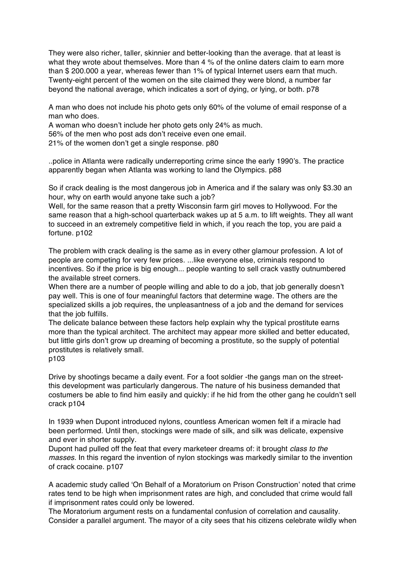They were also richer, taller, skinnier and better-looking than the average. that at least is what they wrote about themselves. More than 4 % of the online daters claim to earn more than \$ 200.000 a year, whereas fewer than 1% of typical Internet users earn that much. Twenty-eight percent of the women on the site claimed they were blond, a number far beyond the national average, which indicates a sort of dying, or lying, or both. p78

A man who does not include his photo gets only 60% of the volume of email response of a man who does.

A woman who doesn't include her photo gets only 24% as much.

56% of the men who post ads don't receive even one email.

21% of the women don't get a single response. p80

..police in Atlanta were radically underreporting crime since the early 1990's. The practice apparently began when Atlanta was working to land the Olympics. p88

So if crack dealing is the most dangerous job in America and if the salary was only \$3.30 an hour, why on earth would anyone take such a job?

Well, for the same reason that a pretty Wisconsin farm girl moves to Hollywood. For the same reason that a high-school quarterback wakes up at 5 a.m. to lift weights. They all want to succeed in an extremely competitive field in which, if you reach the top, you are paid a fortune. p102

The problem with crack dealing is the same as in every other glamour profession. A lot of people are competing for very few prices. ...like everyone else, criminals respond to incentives. So if the price is big enough... people wanting to sell crack vastly outnumbered the available street corners.

When there are a number of people willing and able to do a job, that job generally doesn't pay well. This is one of four meaningful factors that determine wage. The others are the specialized skills a job requires, the unpleasantness of a job and the demand for services that the job fulfills.

The delicate balance between these factors help explain why the typical prostitute earns more than the typical architect. The architect may appear more skilled and better educated, but little girls don't grow up dreaming of becoming a prostitute, so the supply of potential prostitutes is relatively small.

p103

Drive by shootings became a daily event. For a foot soldier -the gangs man on the streetthis development was particularly dangerous. The nature of his business demanded that costumers be able to find him easily and quickly: if he hid from the other gang he couldn't sell crack p104

In 1939 when Dupont introduced nylons, countless American women felt if a miracle had been performed. Until then, stockings were made of silk, and silk was delicate, expensive and ever in shorter supply.

Dupont had pulled off the feat that every marketeer dreams of: it brought *class to the masses*. In this regard the invention of nylon stockings was markedly similar to the invention of crack cocaine. p107

A academic study called 'On Behalf of a Moratorium on Prison Construction' noted that crime rates tend to be high when imprisonment rates are high, and concluded that crime would fall if imprisonment rates could only be lowered.

The Moratorium argument rests on a fundamental confusion of correlation and causality. Consider a parallel argument. The mayor of a city sees that his citizens celebrate wildly when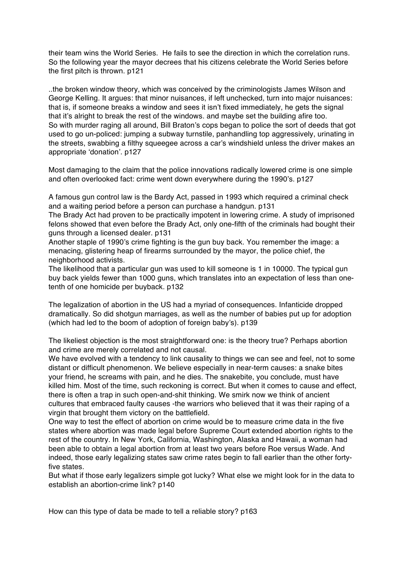their team wins the World Series. He fails to see the direction in which the correlation runs. So the following year the mayor decrees that his citizens celebrate the World Series before the first pitch is thrown. p121

..the broken window theory, which was conceived by the criminologists James Wilson and George Kelling. It argues: that minor nuisances, if left unchecked, turn into major nuisances: that is, if someone breaks a window and sees it isn't fixed immediately, he gets the signal that it's alright to break the rest of the windows. and maybe set the building afire too. So with murder raging all around, Bill Braton's cops began to police the sort of deeds that got used to go un-policed: jumping a subway turnstile, panhandling top aggressively, urinating in the streets, swabbing a filthy squeegee across a car's windshield unless the driver makes an appropriate 'donation'. p127

Most damaging to the claim that the police innovations radically lowered crime is one simple and often overlooked fact: crime went down everywhere during the 1990's. p127

A famous gun control law is the Bardy Act, passed in 1993 which required a criminal check and a waiting period before a person can purchase a handgun. p131

The Brady Act had proven to be practically impotent in lowering crime. A study of imprisoned felons showed that even before the Brady Act, only one-fifth of the criminals had bought their guns through a licensed dealer. p131

Another staple of 1990's crime fighting is the gun buy back. You remember the image: a menacing, glistering heap of firearms surrounded by the mayor, the police chief, the neighborhood activists.

The likelihood that a particular gun was used to kill someone is 1 in 10000. The typical gun buy back yields fewer than 1000 guns, which translates into an expectation of less than onetenth of one homicide per buyback. p132

The legalization of abortion in the US had a myriad of consequences. Infanticide dropped dramatically. So did shotgun marriages, as well as the number of babies put up for adoption (which had led to the boom of adoption of foreign baby's). p139

The likeliest objection is the most straightforward one: is the theory true? Perhaps abortion and crime are merely correlated and not causal.

We have evolved with a tendency to link causality to things we can see and feel, not to some distant or difficult phenomenon. We believe especially in near-term causes: a snake bites your friend, he screams with pain, and he dies. The snakebite, you conclude, must have killed him. Most of the time, such reckoning is correct. But when it comes to cause and effect, there is often a trap in such open-and-shit thinking. We smirk now we think of ancient cultures that embraced faulty causes -the warriors who believed that it was their raping of a virgin that brought them victory on the battlefield.

One way to test the effect of abortion on crime would be to measure crime data in the five states where abortion was made legal before Supreme Court extended abortion rights to the rest of the country. In New York, California, Washington, Alaska and Hawaii, a woman had been able to obtain a legal abortion from at least two years before Roe versus Wade. And indeed, those early legalizing states saw crime rates begin to fall earlier than the other fortyfive states.

But what if those early legalizers simple got lucky? What else we might look for in the data to establish an abortion-crime link? p140

How can this type of data be made to tell a reliable story? p163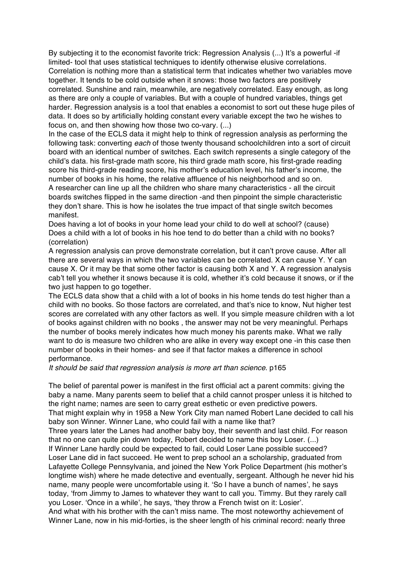By subjecting it to the economist favorite trick: Regression Analysis (...) It's a powerful -if limited- tool that uses statistical techniques to identify otherwise elusive correlations. Correlation is nothing more than a statistical term that indicates whether two variables move together. It tends to be cold outside when it snows: those two factors are positively correlated. Sunshine and rain, meanwhile, are negatively correlated. Easy enough, as long as there are only a couple of variables. But with a couple of hundred variables, things get harder. Regression analysis is a tool that enables a economist to sort out these huge piles of data. It does so by artificially holding constant every variable except the two he wishes to focus on, and then showing how those two co-vary. (...)

In the case of the ECLS data it might help to think of regression analysis as performing the following task: converting *each* of those twenty thousand schoolchildren into a sort of circuit board with an identical number of switches. Each switch represents a single category of the child's data. his first-grade math score, his third grade math score, his first-grade reading score his third-grade reading score, his mother's education level, his father's income, the number of books in his home, the relative affluence of his neighborhood and so on.

A researcher can line up all the children who share many characteristics - all the circuit boards switches flipped in the same direction -and then pinpoint the simple characteristic they don't share. This is how he isolates the true impact of that single switch becomes manifest.

Does having a lot of books in your home lead your child to do well at school? (cause) Does a child with a lot of books in his hoe tend to do better than a child with no books? (correlation)

A regression analysis can prove demonstrate correlation, but it can't prove cause. After all there are several ways in which the two variables can be correlated. X can cause Y. Y can cause X. Or it may be that some other factor is causing both X and Y. A regression analysis cab't tell you whether it snows because it is cold, whether it's cold because it snows, or if the two just happen to go together.

The ECLS data show that a child with a lot of books in his home tends do test higher than a child with no books. So those factors are correlated, and that's nice to know, Nut higher test scores are correlated with any other factors as well. If you simple measure children with a lot of books against children with no books , the answer may not be very meaningful. Perhaps the number of books merely indicates how much money his parents make. What we rally want to do is measure two children who are alike in every way except one -in this case then number of books in their homes- and see if that factor makes a difference in school performance.

*It should be said that regression analysis is more art than science*. p165

The belief of parental power is manifest in the first official act a parent commits: giving the baby a name. Many parents seem to belief that a child cannot prosper unless it is hitched to the right name; names are seen to carry great esthetic or even predictive powers. That might explain why in 1958 a New York City man named Robert Lane decided to call his baby son Winner. Winner Lane, who could fail with a name like that? Three years later the Lanes had another baby boy, their seventh and last child. For reason that no one can quite pin down today, Robert decided to name this boy Loser. (...) If Winner Lane hardly could be expected to fail, could Loser Lane possible succeed? Loser Lane did in fact succeed. He went to prep school an a scholarship, graduated from Lafayette College Pennsylvania, and joined the New York Police Department (his mother's longtime wish) where he made detective and eventually, sergeant. Although he never hid his name, many people were uncomfortable using it. 'So I have a bunch of names', he says today, 'from Jimmy to James to whatever they want to call you. Timmy. But they rarely call you Loser. 'Once in a while', he says, 'they throw a French twist on it: Losier'. And what with his brother with the can't miss name. The most noteworthy achievement of Winner Lane, now in his mid-forties, is the sheer length of his criminal record: nearly three